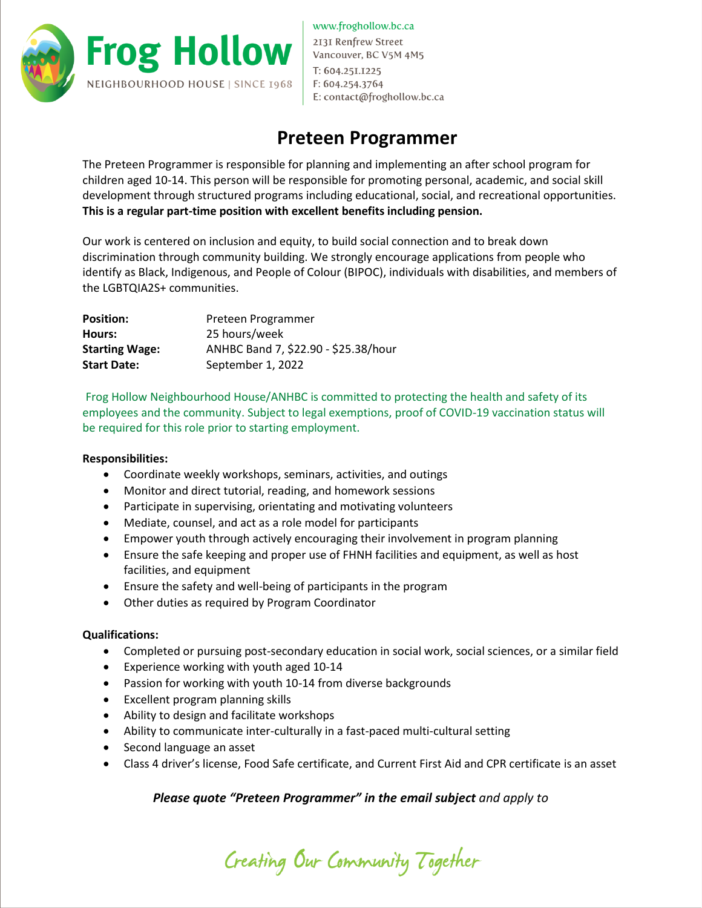

www.froghollow.bc.ca 2131 Renfrew Street Vancouver, BC V5M 4M5 T: 604.25I.I225 F: 604.254.3764 E: contact@froghollow.bc.ca

## **Preteen Programmer**

The Preteen Programmer is responsible for planning and implementing an after school program for children aged 10-14. This person will be responsible for promoting personal, academic, and social skill development through structured programs including educational, social, and recreational opportunities. **This is a regular part-time position with excellent benefits including pension.**

Our work is centered on inclusion and equity, to build social connection and to break down discrimination through community building. We strongly encourage applications from people who identify as Black, Indigenous, and People of Colour (BIPOC), individuals with disabilities, and members of the LGBTQIA2S+ communities.

| <b>Position:</b>      | Preteen Programmer                   |
|-----------------------|--------------------------------------|
| Hours:                | 25 hours/week                        |
| <b>Starting Wage:</b> | ANHBC Band 7, \$22.90 - \$25.38/hour |
| <b>Start Date:</b>    | September 1, 2022                    |

Frog Hollow Neighbourhood House/ANHBC is committed to protecting the health and safety of its employees and the community. Subject to legal exemptions, proof of COVID-19 vaccination status will be required for this role prior to starting employment.

## **Responsibilities:**

- Coordinate weekly workshops, seminars, activities, and outings
- Monitor and direct tutorial, reading, and homework sessions
- Participate in supervising, orientating and motivating volunteers
- Mediate, counsel, and act as a role model for participants
- Empower youth through actively encouraging their involvement in program planning
- Ensure the safe keeping and proper use of FHNH facilities and equipment, as well as host facilities, and equipment
- Ensure the safety and well-being of participants in the program
- Other duties as required by Program Coordinator

## **Qualifications:**

- Completed or pursuing post-secondary education in social work, social sciences, or a similar field
- Experience working with youth aged 10-14
- Passion for working with youth 10-14 from diverse backgrounds
- Excellent program planning skills
- Ability to design and facilitate workshops
- Ability to communicate inter-culturally in a fast-paced multi-cultural setting
- Second language an asset
- Class 4 driver's license, Food Safe certificate, and Current First Aid and CPR certificate is an asset

## *Please quote "Preteen Programmer" in the email subject and apply to*

Creating Our Community Together